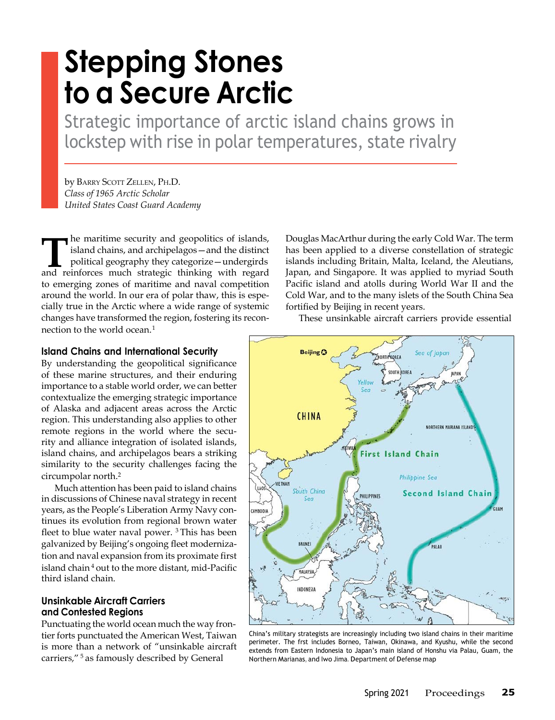# **Stepping Stones to a Secure Arctic**

Strategic importance of arctic island chains grows in lockstep with rise in polar temperatures, state rivalry

by BARRY SCOTT ZELLEN, PH.D. *Class of 1965 Arctic Scholar United States Coast Guard Academy*

**The maritime security and geopolitics of islands,** island chains, and archipelagos—and the distinct political geography they categorize—undergirds and reinforces much strategic thinking with regard he maritime security and geopolitics of islands, island chains, and archipelagos—and the distinct political geography they categorize—undergirds to emerging zones of maritime and naval competition around the world. In our era of polar thaw, this is especially true in the Arctic where a wide range of systemic changes have transformed the region, fostering its reconnection to the world ocean.<sup>1</sup>

## **Island Chains and International Security**

By understanding the geopolitical significance of these marine structures, and their enduring importance to a stable world order, we can better contextualize the emerging strategic importance of Alaska and adjacent areas across the Arctic region. This understanding also applies to other remote regions in the world where the security and alliance integration of isolated islands, island chains, and archipelagos bears a striking similarity to the security challenges facing the circumpolar north.<sup>2</sup>

Much attention has been paid to island chains in discussions of Chinese naval strategy in recent years, as the People's Liberation Army Navy continues its evolution from regional brown water fleet to blue water naval power. <sup>3</sup> This has been galvanized by Beijing's ongoing fleet modernization and naval expansion from its proximate first island chain<sup>4</sup> out to the more distant, mid-Pacific third island chain.

# **Unsinkable Aircraft Carriers and Contested Regions**

Punctuating the world ocean much the way frontier forts punctuated the American West, Taiwan is more than a network of "unsinkable aircraft carriers," <sup>5</sup> as famously described by General

Douglas MacArthur during the early Cold War. The term has been applied to a diverse constellation of strategic islands including Britain, Malta, Iceland, the Aleutians, Japan, and Singapore. It was applied to myriad South Pacific island and atolls during World War II and the Cold War, and to the many islets of the South China Sea fortified by Beijing in recent years.

These unsinkable aircraft carriers provide essential



China's military strategists are increasingly including two island chains in their maritime perimeter. The frst includes Borneo, Taiwan, Okinawa, and Kyushu, while the second extends from Eastern Indonesia to Japan's main island of Honshu via Palau, Guam, the Northern Marianas, and Iwo Jima. Department of Defense map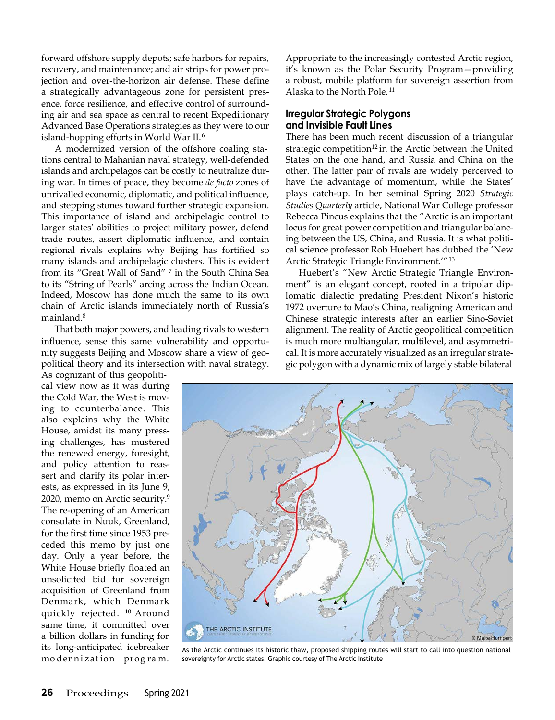forward offshore supply depots; safe harbors for repairs, recovery, and maintenance; and air strips for power projection and over-the-horizon air defense. These define a strategically advantageous zone for persistent presence, force resilience, and effective control of surrounding air and sea space as central to recent Expeditionary Advanced Base Operations strategies as they were to our island-hopping efforts in World War II.<sup>6</sup>

A modernized version of the offshore coaling stations central to Mahanian naval strategy, well-defended islands and archipelagos can be costly to neutralize during war. In times of peace, they become *de facto* zones of unrivalled economic, diplomatic, and political influence, and stepping stones toward further strategic expansion. This importance of island and archipelagic control to larger states' abilities to project military power, defend trade routes, assert diplomatic influence, and contain regional rivals explains why Beijing has fortified so many islands and archipelagic clusters. This is evident from its "Great Wall of Sand" <sup>7</sup> in the South China Sea to its "String of Pearls" arcing across the Indian Ocean. Indeed, Moscow has done much the same to its own chain of Arctic islands immediately north of Russia's mainland.<sup>8</sup>

That both major powers, and leading rivals to western influence, sense this same vulnerability and opportunity suggests Beijing and Moscow share a view of geopolitical theory and its intersection with naval strategy.

As cognizant of this geopolitical view now as it was during the Cold War, the West is moving to counterbalance. This also explains why the White House, amidst its many pressing challenges, has mustered the renewed energy, foresight, and policy attention to reassert and clarify its polar interests, as expressed in its June 9, 2020, memo on Arctic security.<sup>9</sup> The re-opening of an American consulate in Nuuk, Greenland, for the first time since 1953 preceded this memo by just one day. Only a year before, the White House briefly floated an unsolicited bid for sovereign acquisition of Greenland from Denmark, which Denmark quickly rejected. <sup>10</sup> Around same time, it committed over a billion dollars in funding for its long-anticipated icebreaker mo der ni z at ion prog ra m.

Appropriate to the increasingly contested Arctic region, it's known as the Polar Security Program—providing a robust, mobile platform for sovereign assertion from Alaska to the North Pole. <sup>11</sup>

## **Irregular Strategic Polygons and Invisible Fault Lines**

There has been much recent discussion of a triangular strategic competition<sup>12</sup> in the Arctic between the United States on the one hand, and Russia and China on the other. The latter pair of rivals are widely perceived to have the advantage of momentum, while the States' plays catch-up. In her seminal Spring 2020 *Strategic Studies Quarterly* article, National War College professor Rebecca Pincus explains that the "Arctic is an important locus for great power competition and triangular balancing between the US, China, and Russia. It is what political science professor Rob Huebert has dubbed the 'New Arctic Strategic Triangle Environment.'"<sup>13</sup>

Huebert's "New Arctic Strategic Triangle Environment" is an elegant concept, rooted in a tripolar diplomatic dialectic predating President Nixon's historic 1972 overture to Mao's China, realigning American and Chinese strategic interests after an earlier Sino-Soviet alignment. The reality of Arctic geopolitical competition is much more multiangular, multilevel, and asymmetrical. It is more accurately visualized as an irregular strategic polygon with a dynamic mix of largely stable bilateral



As the Arctic continues its historic thaw, proposed shipping routes will start to call into question national sovereignty for Arctic states. Graphic courtesy of The Arctic Institute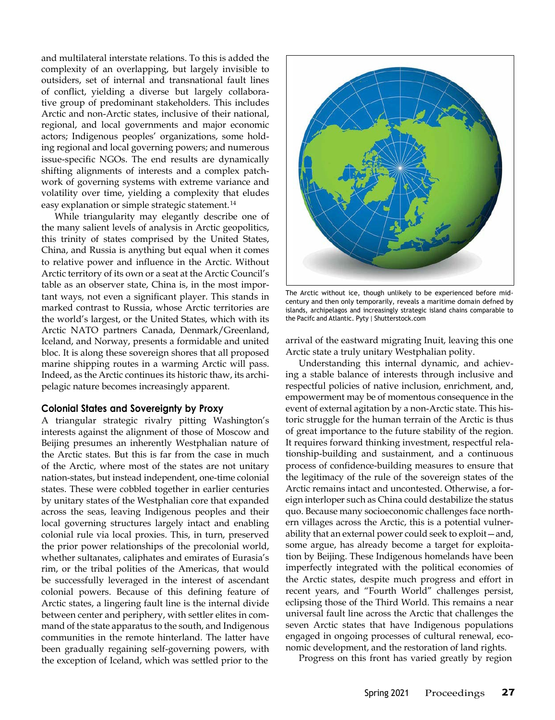and multilateral interstate relations. To this is added the complexity of an overlapping, but largely invisible to outsiders, set of internal and transnational fault lines of conflict, yielding a diverse but largely collaborative group of predominant stakeholders. This includes Arctic and non-Arctic states, inclusive of their national, regional, and local governments and major economic actors; Indigenous peoples' organizations, some holding regional and local governing powers; and numerous issue-specific NGOs. The end results are dynamically shifting alignments of interests and a complex patchwork of governing systems with extreme variance and volatility over time, yielding a complexity that eludes easy explanation or simple strategic statement.<sup>14</sup>

While triangularity may elegantly describe one of the many salient levels of analysis in Arctic geopolitics, this trinity of states comprised by the United States, China, and Russia is anything but equal when it comes to relative power and influence in the Arctic. Without Arctic territory of its own or a seat at the Arctic Council's table as an observer state, China is, in the most important ways, not even a significant player. This stands in marked contrast to Russia, whose Arctic territories are the world's largest, or the United States, which with its Arctic NATO partners Canada, Denmark/Greenland, Iceland, and Norway, presents a formidable and united bloc. It is along these sovereign shores that all proposed marine shipping routes in a warming Arctic will pass. Indeed, as the Arctic continues its historic thaw, its archipelagic nature becomes increasingly apparent.

### **Colonial States and Sovereignty by Proxy**

A triangular strategic rivalry pitting Washington's interests against the alignment of those of Moscow and Beijing presumes an inherently Westphalian nature of the Arctic states. But this is far from the case in much of the Arctic, where most of the states are not unitary nation-states, but instead independent, one-time colonial states. These were cobbled together in earlier centuries by unitary states of the Westphalian core that expanded across the seas, leaving Indigenous peoples and their local governing structures largely intact and enabling colonial rule via local proxies. This, in turn, preserved the prior power relationships of the precolonial world, whether sultanates, caliphates and emirates of Eurasia's rim, or the tribal polities of the Americas, that would be successfully leveraged in the interest of ascendant colonial powers. Because of this defining feature of Arctic states, a lingering fault line is the internal divide between center and periphery, with settler elites in command of the state apparatus to the south, and Indigenous communities in the remote hinterland. The latter have been gradually regaining self-governing powers, with the exception of Iceland, which was settled prior to the



The Arctic without ice, though unlikely to be experienced before midcentury and then only temporarily, reveals a maritime domain defned by islands, archipelagos and increasingly strategic island chains comparable to the Pacifc and Atlantic. Pyty | [Shutterstock.com](https://shutterstock.com/)

arrival of the eastward migrating Inuit, leaving this one Arctic state a truly unitary Westphalian polity.

Understanding this internal dynamic, and achieving a stable balance of interests through inclusive and respectful policies of native inclusion, enrichment, and, empowerment may be of momentous consequence in the event of external agitation by a non-Arctic state. This historic struggle for the human terrain of the Arctic is thus of great importance to the future stability of the region. It requires forward thinking investment, respectful relationship-building and sustainment, and a continuous process of confidence-building measures to ensure that the legitimacy of the rule of the sovereign states of the Arctic remains intact and uncontested. Otherwise, a foreign interloper such as China could destabilize the status quo. Because many socioeconomic challenges face northern villages across the Arctic, this is a potential vulnerability that an external power could seek to exploit—and, some argue, has already become a target for exploitation by Beijing. These Indigenous homelands have been imperfectly integrated with the political economies of the Arctic states, despite much progress and effort in recent years, and "Fourth World" challenges persist, eclipsing those of the Third World. This remains a near universal fault line across the Arctic that challenges the seven Arctic states that have Indigenous populations engaged in ongoing processes of cultural renewal, economic development, and the restoration of land rights.

Progress on this front has varied greatly by region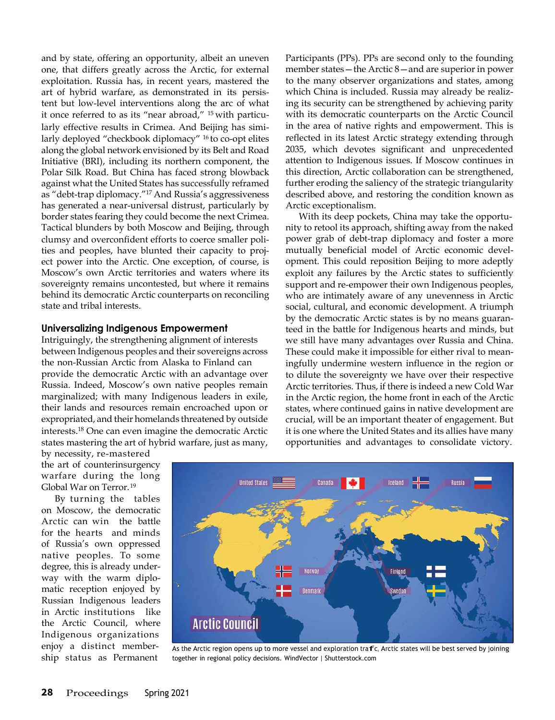and by state, offering an opportunity, albeit an uneven one, that differs greatly across the Arctic, for external exploitation. Russia has, in recent years, mastered the art of hybrid warfare, as demonstrated in its persistent but low-level interventions along the arc of what it once referred to as its "near abroad," <sup>15</sup> with particularly effective results in Crimea. And Beijing has similarly deployed "checkbook diplomacy" 16 to co-opt elites along the global network envisioned by its Belt and Road Initiative (BRI), including its northern component, the Polar Silk Road. But China has faced strong blowback against what the United States has successfully reframed as "debt-trap diplomacy."17 And Russia's aggressiveness has generated a near-universal distrust, particularly by border states fearing they could become the next Crimea. Tactical blunders by both Moscow and Beijing, through clumsy and overconfident efforts to coerce smaller polities and peoples, have blunted their capacity to project power into the Arctic. One exception, of course, is Moscow's own Arctic territories and waters where its sovereignty remains uncontested, but where it remains behind its democratic Arctic counterparts on reconciling state and tribal interests.

## **Universalizing Indigenous Empowerment**

Intriguingly, the strengthening alignment of interests between Indigenous peoples and their sovereigns across the non-Russian Arctic from Alaska to Finland can provide the democratic Arctic with an advantage over Russia. Indeed, Moscow's own native peoples remain marginalized; with many Indigenous leaders in exile, their lands and resources remain encroached upon or expropriated, and their homelands threatened by outside [interests.](https://interests.18/)[18](https://interests.18/) One can even imagine the democratic Arctic states mastering the art of hybrid warfare, just as many, Participants (PPs). PPs are second only to the founding member states—the Arctic 8—and are superior in power to the many observer organizations and states, among which China is included. Russia may already be realizing its security can be strengthened by achieving parity with its democratic counterparts on the Arctic Council in the area of native rights and empowerment. This is reflected in its latest Arctic strategy extending through 2035, which devotes significant and unprecedented attention to Indigenous issues. If Moscow continues in this direction, Arctic collaboration can be strengthened, further eroding the saliency of the strategic triangularity described above, and restoring the condition known as Arctic exceptionalism.

With its deep pockets, China may take the opportunity to retool its approach, shifting away from the naked power grab of debt-trap diplomacy and foster a more mutually beneficial model of Arctic economic development. This could reposition Beijing to more adeptly exploit any failures by the Arctic states to sufficiently support and re-empower their own Indigenous peoples, who are intimately aware of any unevenness in Arctic social, cultural, and economic development. A triumph by the democratic Arctic states is by no means guaranteed in the battle for Indigenous hearts and minds, but we still have many advantages over Russia and China. These could make it impossible for either rival to meaningfully undermine western influence in the region or to dilute the sovereignty we have over their respective Arctic territories. Thus, if there is indeed a new Cold War in the Arctic region, the home front in each of the Arctic states, where continued gains in native development are crucial, will be an important theater of engagement. But it is one where the United States and its allies have many opportunities and advantages to consolidate victory.

by necessity, re-mastered the art of counterinsurgency warfare during the long Global War on Terror.<sup>19</sup>

By turning the tables on Moscow, the democratic Arctic can win the battle for the hearts and minds of Russia's own oppressed native peoples. To some degree, this is already underway with the warm diplomatic reception enjoyed by Russian Indigenous leaders in Arctic institutions like the Arctic Council, where Indigenous organizations



enjoy a distinct member-<br>
So the Arctic region opens up to more vessel and exploration trafic, Arctic states will be best served by joining<br>
Ship status as Permanent together in regional policy decisions. WindVector | Shut together in regional policy decisions. WindVector [| Shutterstock.com](https://shutterstock.com/)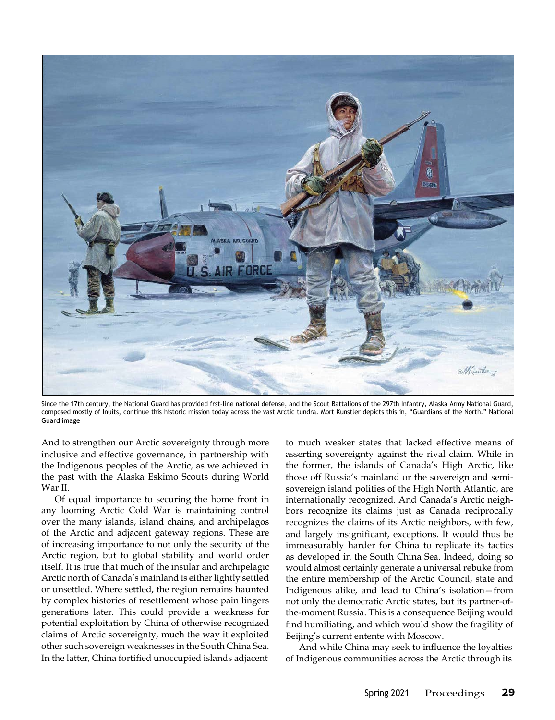

Since the 17th century, the National Guard has provided frst-line national defense, and the Scout Battalions of the 297th Infantry, Alaska Army National Guard, composed mostly of Inuits, continue this historic mission today across the vast Arctic tundra. Mort Kunstler depicts this in, "Guardians of the North." National Guard image

And to strengthen our Arctic sovereignty through more inclusive and effective governance, in partnership with the Indigenous peoples of the Arctic, as we achieved in the past with the Alaska Eskimo Scouts during World War II.

Of equal importance to securing the home front in any looming Arctic Cold War is maintaining control over the many islands, island chains, and archipelagos of the Arctic and adjacent gateway regions. These are of increasing importance to not only the security of the Arctic region, but to global stability and world order itself. It is true that much of the insular and archipelagic Arctic north of Canada's mainland is either lightly settled or unsettled. Where settled, the region remains haunted by complex histories of resettlement whose pain lingers generations later. This could provide a weakness for potential exploitation by China of otherwise recognized claims of Arctic sovereignty, much the way it exploited other such sovereign weaknesses in the South China Sea. In the latter, China fortified unoccupied islands adjacent

to much weaker states that lacked effective means of asserting sovereignty against the rival claim. While in the former, the islands of Canada's High Arctic, like those off Russia's mainland or the sovereign and semisovereign island polities of the High North Atlantic, are internationally recognized. And Canada's Arctic neighbors recognize its claims just as Canada reciprocally recognizes the claims of its Arctic neighbors, with few, and largely insignificant, exceptions. It would thus be immeasurably harder for China to replicate its tactics as developed in the South China Sea. Indeed, doing so would almost certainly generate a universal rebuke from the entire membership of the Arctic Council, state and Indigenous alike, and lead to China's isolation—from not only the democratic Arctic states, but its partner-ofthe-moment Russia. This is a consequence Beijing would find humiliating, and which would show the fragility of Beijing's current entente with Moscow.

And while China may seek to influence the loyalties of Indigenous communities across the Arctic through its